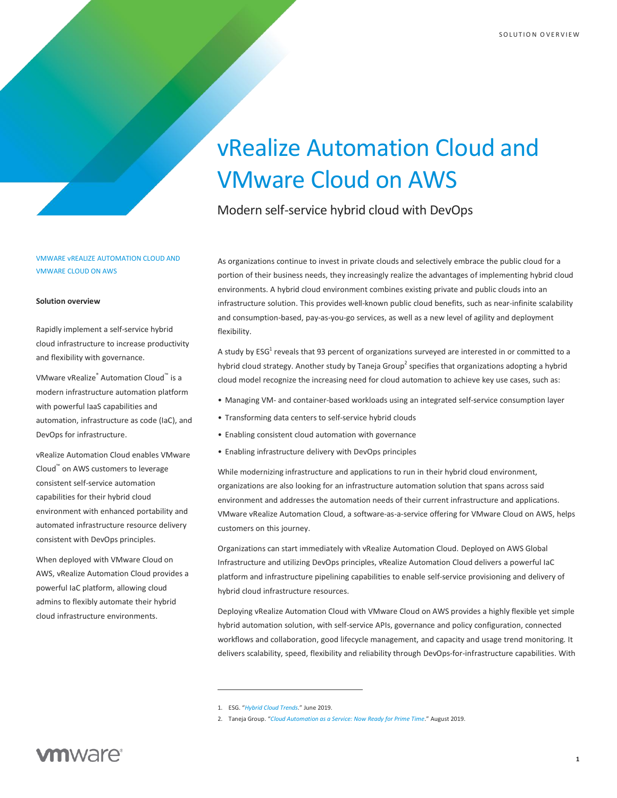# vRealize Automation Cloud and VMware Cloud on AWS

Modern self-service hybrid cloud with DevOps

# VMWARE vREALIZE AUTOMATION CLOUD AND VMWARE CLOUD ON AWS

#### **Solution overview**

Rapidly implement a self-service hybrid cloud infrastructure to increase productivity and flexibility with governance.

VMware vRealize® Automation Cloud™ is a modern infrastructure automation platform with powerful IaaS capabilities and automation, infrastructure as code (IaC), and DevOps for infrastructure.

vRealize Automation Cloud enables VMware Cloud™ on AWS customers to leverage consistent self-service automation capabilities for their hybrid cloud environment with enhanced portability and automated infrastructure resource delivery consistent with DevOps principles.

When deployed with VMware Cloud on AWS, vRealize Automation Cloud provides a powerful IaC platform, allowing cloud admins to flexibly automate their hybrid cloud infrastructure environments.

As organizations continue to invest in private clouds and selectively embrace the public cloud for a portion of their business needs, they increasingly realize the advantages of implementing hybrid cloud environments. A hybrid cloud environment combines existing private and public clouds into an infrastructure solution. This provides well-known public cloud benefits, such as near-infinite scalability and consumption-based, pay-as-you-go services, as well as a new level of agility and deployment flexibility.

A study by ESG<sup>1</sup> reveals that 93 percent of organizations surveyed are interested in or committed to a hybrid cloud strategy. Another study by Taneja Group<sup>2</sup> specifies that organizations adopting a hybrid cloud model recognize the increasing need for cloud automation to achieve key use cases, such as:

- Managing VM- and container-based workloads using an integrated self-service consumption layer
- Transforming data centers to self-service hybrid clouds
- Enabling consistent cloud automation with governance
- Enabling infrastructure delivery with DevOps principles

While modernizing infrastructure and applications to run in their hybrid cloud environment, organizations are also looking for an infrastructure automation solution that spans across said environment and addresses the automation needs of their current infrastructure and applications. VMware vRealize Automation Cloud, a software-as-a-service offering for VMware Cloud on AWS, helps customers on this journey.

Organizations can start immediately with vRealize Automation Cloud. Deployed on AWS Global Infrastructure and utilizing DevOps principles, vRealize Automation Cloud delivers a powerful IaC platform and infrastructure pipelining capabilities to enable self-service provisioning and delivery of hybrid cloud infrastructure resources.

Deploying vRealize Automation Cloud with VMware Cloud on AWS provides a highly flexible yet simple hybrid automation solution, with self-service APIs, governance and policy configuration, connected workflows and collaboration, good lifecycle management, and capacity and usage trend monitoring. It delivers scalability, speed, flexibility and reliability through DevOps-for-infrastructure capabilities. With

<sup>1.</sup> ESG. "*[Hybrid Cloud Trends](https://assets.contentstack.io/v3/assets/blt58b49a8a0e43b5ff/blt4149e0994fa80bc3/5db354de2dc72966da7477c0/ESG_eBook_-_Hybrid_Cloud_Trends.pdf)*." June 2019.

<sup>2.</sup> Taneja Group. "*[Cloud Automation as a Service: Now Ready for Prime Time](http://www.tanejagroup.com/profiles-reports/request/cloud-automation-as-a-service-now-ready-for-prime-time)*." August 2019.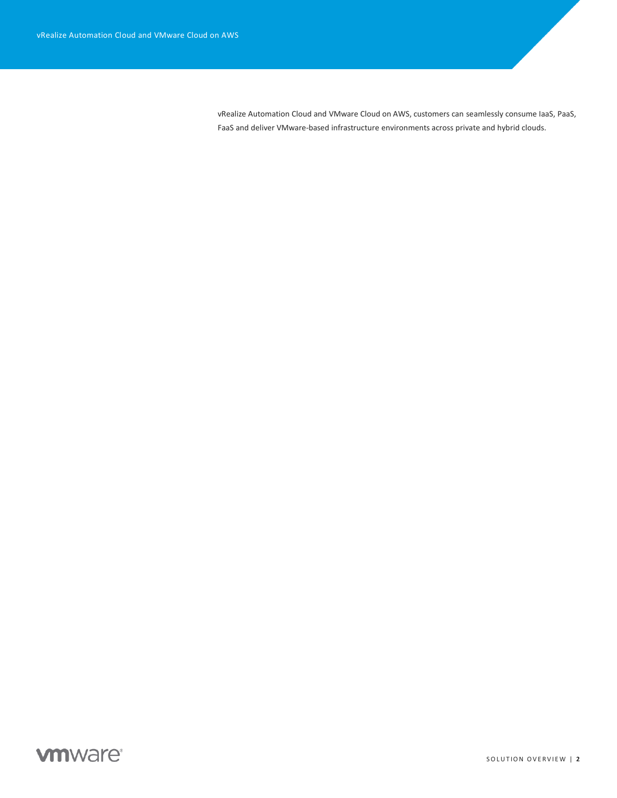vRealize Automation Cloud and VMware Cloud on AWS, customers can seamlessly consume IaaS, PaaS, FaaS and deliver VMware-based infrastructure environments across private and hybrid clouds.

# **vm**ware<sup>®</sup>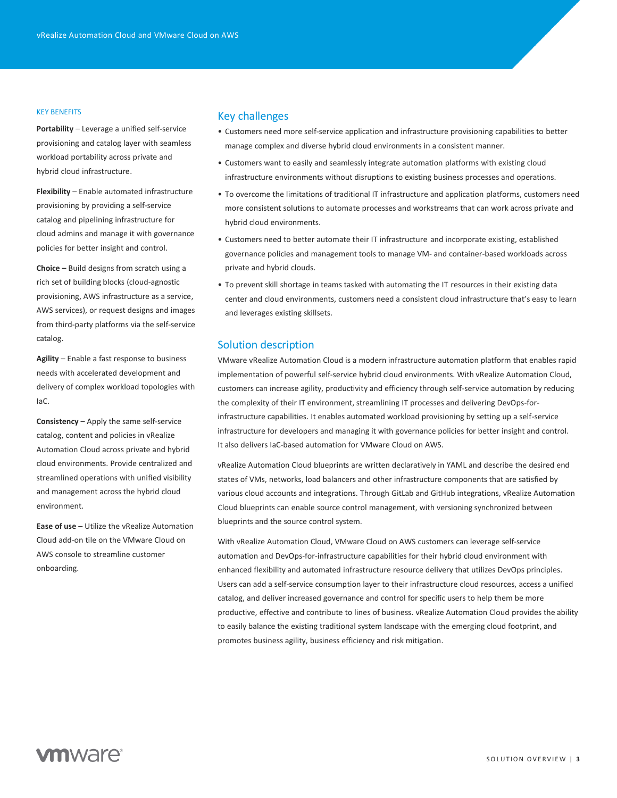#### KEY BENEFITS

**Portability** – Leverage a unified self-service provisioning and catalog layer with seamless workload portability across private and hybrid cloud infrastructure.

**Flexibility** – Enable automated infrastructure provisioning by providing a self-service catalog and pipelining infrastructure for cloud admins and manage it with governance policies for better insight and control.

**Choice –** Build designs from scratch using a rich set of building blocks (cloud-agnostic provisioning, AWS infrastructure as a service, AWS services), or request designs and images from third-party platforms via the self-service catalog.

**Agility** – Enable a fast response to business needs with accelerated development and delivery of complex workload topologies with IaC.

**Consistency** – Apply the same self-service catalog, content and policies in vRealize Automation Cloud across private and hybrid cloud environments. Provide centralized and streamlined operations with unified visibility and management across the hybrid cloud environment.

**Ease of use** – Utilize the vRealize Automation Cloud add-on tile on the VMware Cloud on AWS console to streamline customer onboarding.

# Key challenges

- Customers need more self-service application and infrastructure provisioning capabilities to better manage complex and diverse hybrid cloud environments in a consistent manner.
- Customers want to easily and seamlessly integrate automation platforms with existing cloud infrastructure environments without disruptions to existing business processes and operations.
- To overcome the limitations of traditional IT infrastructure and application platforms, customers need more consistent solutions to automate processes and workstreams that can work across private and hybrid cloud environments.
- Customers need to better automate their IT infrastructure and incorporate existing, established governance policies and management tools to manage VM- and container-based workloads across private and hybrid clouds.
- To prevent skill shortage in teams tasked with automating the IT resources in their existing data center and cloud environments, customers need a consistent cloud infrastructure that's easy to learn and leverages existing skillsets.

# Solution description

VMware vRealize Automation Cloud is a modern infrastructure automation platform that enables rapid implementation of powerful self-service hybrid cloud environments. With vRealize Automation Cloud, customers can increase agility, productivity and efficiency through self-service automation by reducing the complexity of their IT environment, streamlining IT processes and delivering DevOps-forinfrastructure capabilities. It enables automated workload provisioning by setting up a self-service infrastructure for developers and managing it with governance policies for better insight and control. It also delivers IaC-based automation for VMware Cloud on AWS.

vRealize Automation Cloud blueprints are written declaratively in YAML and describe the desired end states of VMs, networks, load balancers and other infrastructure components that are satisfied by various cloud accounts and integrations. Through GitLab and GitHub integrations, vRealize Automation Cloud blueprints can enable source control management, with versioning synchronized between blueprints and the source control system.

With vRealize Automation Cloud, VMware Cloud on AWS customers can leverage self-service automation and DevOps-for-infrastructure capabilities for their hybrid cloud environment with enhanced flexibility and automated infrastructure resource delivery that utilizes DevOps principles. Users can add a self-service consumption layer to their infrastructure cloud resources, access a unified catalog, and deliver increased governance and control for specific users to help them be more productive, effective and contribute to lines of business. vRealize Automation Cloud provides the ability to easily balance the existing traditional system landscape with the emerging cloud footprint, and promotes business agility, business efficiency and risk mitigation.